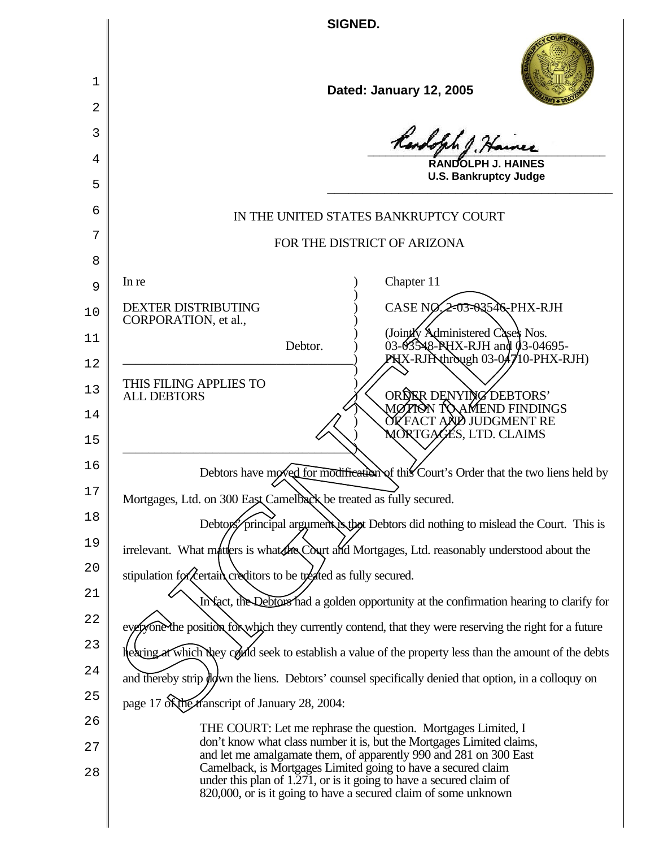**SIGNED.**

 $\mathsf{l}$ 

I

| 1              | Dated: January 12, 2005                                                                                                                                        |
|----------------|----------------------------------------------------------------------------------------------------------------------------------------------------------------|
| 2              |                                                                                                                                                                |
| 3              | Randolph 1. Hain                                                                                                                                               |
| 4              | RANDOLPH J. HAINES<br><b>U.S. Bankruptcy Judge</b>                                                                                                             |
| 5              |                                                                                                                                                                |
| 6              | IN THE UNITED STATES BANKRUPTCY COURT                                                                                                                          |
| 7              | FOR THE DISTRICT OF ARIZONA                                                                                                                                    |
| 8              | Chapter 11<br>In re                                                                                                                                            |
| 9              | CASE NO $2$ -03-03546-PHX-RJH<br><b>DEXTER DISTRIBUTING</b>                                                                                                    |
| 10<br>11       | CORPORATION, et al.,<br>(Jointly Administered Cases Nos.                                                                                                       |
| 12             | 03-03548-PHX-RJH and 03-04695-<br>PHX-RJPAthrough 03-04710-PHX-RJH)<br>Debtor.                                                                                 |
| 13<br>14<br>15 | THIS FILING APPLIES TO<br>ORDER DENYING DEBTORS'<br><b>ALL DEBTORS</b><br>MØTIOŇ TO\AMEND FINDINGS<br><b>OF FACT AND JUDGMENT RE</b><br>MORTGAGES, LTD. CLAIMS |
| 16             | Debtors have moved for modification of this Court's Order that the two liens held by                                                                           |
| 17             | Mortgages, Ltd. on 300 Eaßt Camelback be treated as fully secured.                                                                                             |
| 18             | Debtors principal argument is that Debtors did nothing to mislead the Court. This is                                                                           |
| 19             | irrelevant. What matters is what the Court and Mortgages, Ltd. reasonably understood about the                                                                 |
| 20             | stipulation for (certain creditors to be treated as fully secured.                                                                                             |
| 21             | In fact, the Debtors had a golden opportunity at the confirmation hearing to clarify for                                                                       |
| 22             | eyergone the position for which they currently contend, that they were reserving the right for a future                                                        |
| 23             | hearing at which they could seek to establish a value of the property less than the amount of the debts                                                        |
| 24             | and thereby strip wdwn the liens. Debtors' counsel specifically denied that option, in a colloquy on                                                           |
| 25             | page 17 of the transcript of January 28, 2004:                                                                                                                 |
| 26             | THE COURT: Let me rephrase the question. Mortgages Limited, I<br>don't know what class number it is, but the Mortgages Limited claims,                         |
| 27             | and let me amalgamate them, of apparently 990 and 281 on 300 East<br>Camelback, is Mortgages Limited going to have a secured claim                             |
| 28             | under this plan of $1.\overline{271}$ , or is it going to have a secured claim of<br>820,000, or is it going to have a secured claim of some unknown           |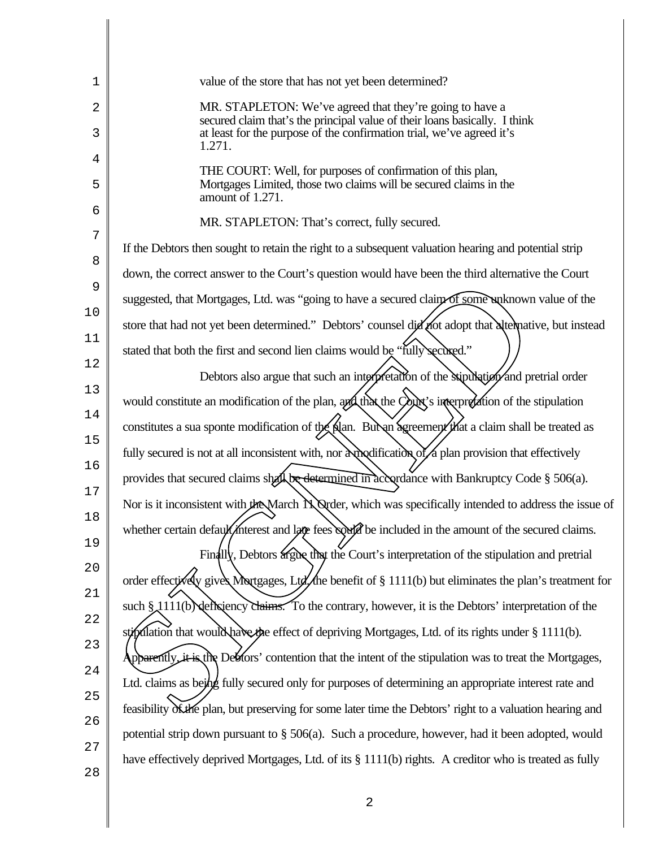| 1           | value of the store that has not yet been determined?                                                                                                                                                                      |
|-------------|---------------------------------------------------------------------------------------------------------------------------------------------------------------------------------------------------------------------------|
| 2<br>3      | MR. STAPLETON: We've agreed that they're going to have a<br>secured claim that's the principal value of their loans basically. I think<br>at least for the purpose of the confirmation trial, we've agreed it's<br>1.271. |
| 4<br>5<br>6 | THE COURT: Well, for purposes of confirmation of this plan,<br>Mortgages Limited, those two claims will be secured claims in the<br>amount of 1.271.                                                                      |
|             | MR. STAPLETON: That's correct, fully secured.                                                                                                                                                                             |
| 7           | If the Debtors then sought to retain the right to a subsequent valuation hearing and potential strip                                                                                                                      |
| 8           | down, the correct answer to the Court's question would have been the third alternative the Court                                                                                                                          |
| 9           | suggested, that Mortgages, Ltd. was "going to have a secured claim of some waknown value of the                                                                                                                           |
| 10          | store that had not yet been determined." Debtors' counsel did not adopt that alternative, but instead                                                                                                                     |
| 11          | stated that both the first and second lien claims would be "fully secured."                                                                                                                                               |
| 12          | Debtors also argue that such an interpretation of the stipulation and pretrial order                                                                                                                                      |
| 13          | would constitute an modification of the plan, and that the Court's interpretation of the stipulation                                                                                                                      |
| 14          | constitutes a sua sponte modification of the plan. But an agreement that a claim shall be treated as                                                                                                                      |
| 15          | fully secured is not at all inconsistent with, nor a voldification of a plan provision that effectively                                                                                                                   |
| 16          | provides that secured claims shall be determined in accordance with Bankruptcy Code § 506(a).                                                                                                                             |
| 17          | Nor is it inconsistent with the March N Qrder, which was specifically intended to address the issue of                                                                                                                    |
| 18          | whether certain default/interest and late fees could be included in the amount of the secured claims.                                                                                                                     |
| 19<br>20    | Finally, Debtors argue that the Court's interpretation of the stipulation and pretrial                                                                                                                                    |
| 21          | order effectively gives Mortgages, Ltd. the benefit of § 1111(b) but eliminates the plan's treatment for                                                                                                                  |
| 22          | such § 1111(b) deficiency claims. To the contrary, however, it is the Debtors' interpretation of the                                                                                                                      |
| 23          | stipulation that would have the effect of depriving Mortgages, Ltd. of its rights under § 1111(b).                                                                                                                        |
| 24          | Apparently, it is the Debtors' contention that the intent of the stipulation was to treat the Mortgages,                                                                                                                  |
| 25          | Ltd. claims as being fully secured only for purposes of determining an appropriate interest rate and                                                                                                                      |
| 26          | feasibility of the plan, but preserving for some later time the Debtors' right to a valuation hearing and                                                                                                                 |
| 27          | potential strip down pursuant to § 506(a). Such a procedure, however, had it been adopted, would                                                                                                                          |
| 28          | have effectively deprived Mortgages, Ltd. of its § 1111(b) rights. A creditor who is treated as fully                                                                                                                     |
|             |                                                                                                                                                                                                                           |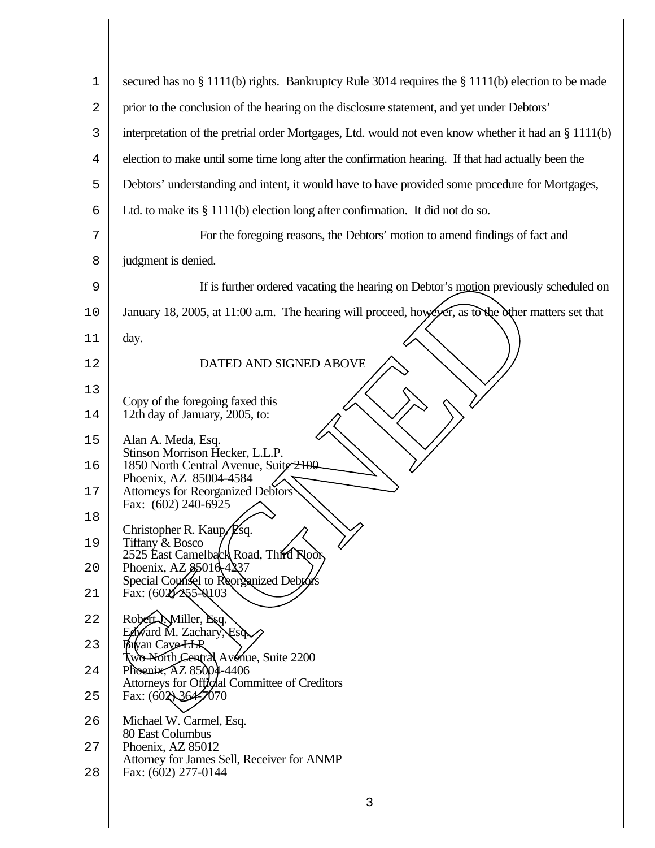| 1              | secured has no $\S 1111(b)$ rights. Bankruptcy Rule 3014 requires the $\S 1111(b)$ election to be made |
|----------------|--------------------------------------------------------------------------------------------------------|
| 2              | prior to the conclusion of the hearing on the disclosure statement, and yet under Debtors'             |
| 3              | interpretation of the pretrial order Mortgages, Ltd. would not even know whether it had an § 1111(b)   |
| $\overline{4}$ | election to make until some time long after the confirmation hearing. If that had actually been the    |
| 5              | Debtors' understanding and intent, it would have to have provided some procedure for Mortgages,        |
| 6              | Ltd. to make its $\S$ 1111(b) election long after confirmation. It did not do so.                      |
| 7              | For the foregoing reasons, the Debtors' motion to amend findings of fact and                           |
| 8              | judgment is denied.                                                                                    |
| 9              | If is further ordered vacating the hearing on Debtor's motion previously scheduled on                  |
| 10             | January 18, 2005, at 11:00 a.m. The hearing will proceed, however, as to the other matters set that    |
| 11             | day.                                                                                                   |
| 12             | DATED AND SIGNED ABOVE                                                                                 |
| 13             | Copy of the foregoing faxed this                                                                       |
| 14             | 12th day of January, 2005, to:                                                                         |
| 15             | Alan A. Meda, Esq.<br>Stinson Morrison Hecker, L.L.P.                                                  |
| 16             | 1850 North Central Avenue, Suite 2100<br>Phoenix, AZ 85004-4584                                        |
| 17             | Attorneys for Reorganized Debtors<br>Fax: (602) 240-6925                                               |
| 18             | Christopher R. Kaup, Esq.                                                                              |
| 19             | Tiffany & Bosco<br>2525 East Camelback Road, Third Noor                                                |
| 20             | Phoenix, AZ \$5010-4237<br>Special Counsel to Reorganized Debtors                                      |
| 21             | Fax: (602/255-0103)                                                                                    |
| 22             | Robert Miller, Esq.<br>Edward M. Zachary, Esd.                                                         |
| 23             | Btyan CaveLLP<br>Two North Central Avenue, Suite 2200                                                  |
| 24             | Phoenix, AZ 85004-4406<br>Attorneys for Official Committee of Creditors                                |
| 25             | Fax: $(602)36427070$                                                                                   |
| 26             | Michael W. Carmel, Esq.<br>80 East Columbus                                                            |
| 27             | Phoenix, AZ 85012<br>Attorney for James Sell, Receiver for ANMP                                        |
| 28             | Fax: (602) 277-0144                                                                                    |